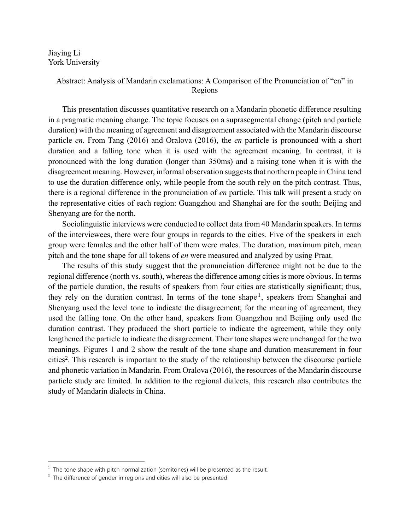Jiaying Li York University

## Abstract: Analysis of Mandarin exclamations: A Comparison of the Pronunciation of "en" in Regions

This presentation discusses quantitative research on a Mandarin phonetic difference resulting in a pragmatic meaning change. The topic focuses on a suprasegmental change (pitch and particle duration) with the meaning of agreement and disagreement associated with the Mandarin discourse particle *en*. From Tang (2016) and Oralova (2016), the *en* particle is pronounced with a short duration and a falling tone when it is used with the agreement meaning. In contrast, it is pronounced with the long duration (longer than 350ms) and a raising tone when it is with the disagreement meaning. However, informal observation suggests that northern people in China tend to use the duration difference only, while people from the south rely on the pitch contrast. Thus, there is a regional difference in the pronunciation of *en* particle. This talk will present a study on the representative cities of each region: Guangzhou and Shanghai are for the south; Beijing and Shenyang are for the north.

Sociolinguistic interviews were conducted to collect data from 40 Mandarin speakers. In terms of the interviewees, there were four groups in regards to the cities. Five of the speakers in each group were females and the other half of them were males. The duration, maximum pitch, mean pitch and the tone shape for all tokens of *en* were measured and analyzed by using Praat.

The results of this study suggest that the pronunciation difference might not be due to the regional difference (north vs. south), whereas the difference among cities is more obvious. In terms of the particle duration, the results of speakers from four cities are statistically significant; thus, they rely on the duration contrast. In terms of the tone shape<sup>1</sup>, speakers from Shanghai and Shenyang used the level tone to indicate the disagreement; for the meaning of agreement, they used the falling tone. On the other hand, speakers from Guangzhou and Beijing only used the duration contrast. They produced the short particle to indicate the agreement, while they only lengthened the particle to indicate the disagreement. Their tone shapes were unchanged for the two meanings. Figures 1 and 2 show the result of the tone shape and duration measurement in four cities<sup>2</sup>. This research is important to the study of the relationship between the discourse particle and phonetic variation in Mandarin. From Oralova (2016), the resources of the Mandarin discourse particle study are limited. In addition to the regional dialects, this research also contributes the study of Mandarin dialects in China.

 $1$  The tone shape with pitch normalization (semitones) will be presented as the result.

 $2$  The difference of gender in regions and cities will also be presented.